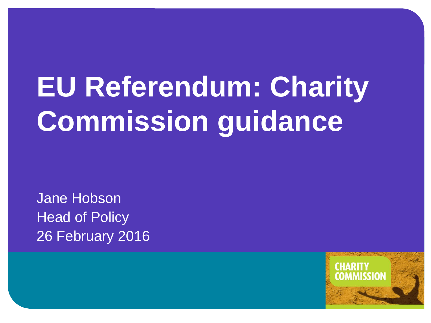# **EU Referendum: Charity Commission guidance**

Jane Hobson Head of Policy 26 February 2016

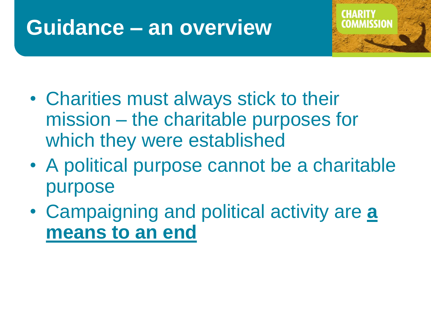# **Guidance – an overview**



- Charities must always stick to their mission – the charitable purposes for which they were established
- A political purpose cannot be a charitable purpose
- Campaigning and political activity are **a means to an end**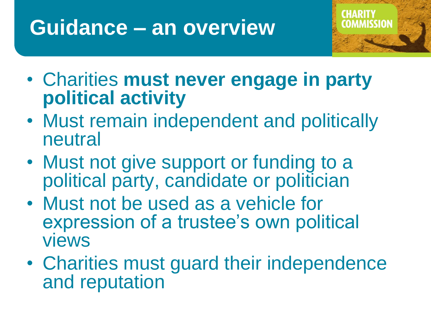# **Guidance – an overview**



- Charities **must never engage in party political activity**
- Must remain independent and politically neutral
- Must not give support or funding to a political party, candidate or politician
- Must not be used as a vehicle for expression of a trustee's own political views
- Charities must guard their independence and reputation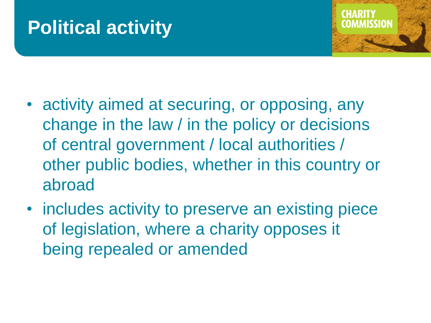## **Political activity**



- activity aimed at securing, or opposing, any change in the law / in the policy or decisions of central government / local authorities / other public bodies, whether in this country or abroad
- includes activity to preserve an existing piece of legislation, where a charity opposes it being repealed or amended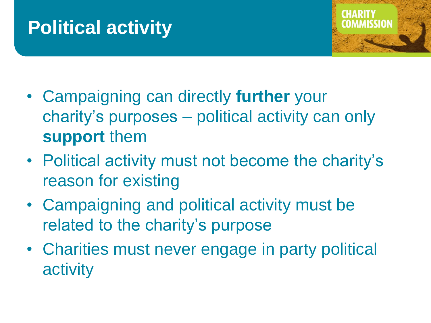## **Political activity**



- Campaigning can directly **further** your charity's purposes – political activity can only **support** them
- Political activity must not become the charity's reason for existing
- Campaigning and political activity must be related to the charity's purpose
- Charities must never engage in party political activity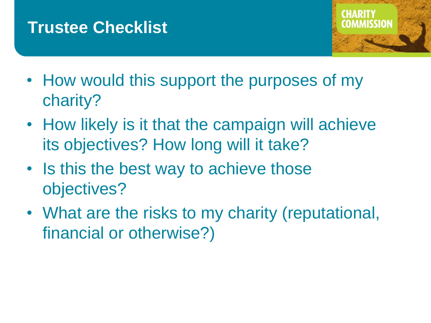### **Trustee Checklist**



- How would this support the purposes of my charity?
- How likely is it that the campaign will achieve its objectives? How long will it take?
- Is this the best way to achieve those objectives?
- What are the risks to my charity (reputational, financial or otherwise?)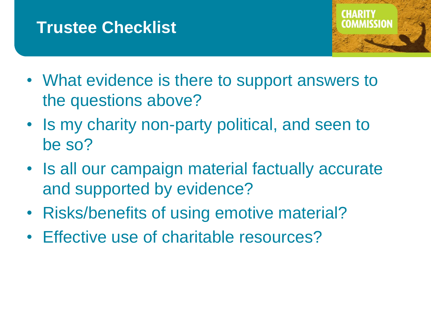### **Trustee Checklist**



- What evidence is there to support answers to the questions above?
- Is my charity non-party political, and seen to be so?
- Is all our campaign material factually accurate and supported by evidence?
- Risks/benefits of using emotive material?
- Effective use of charitable resources?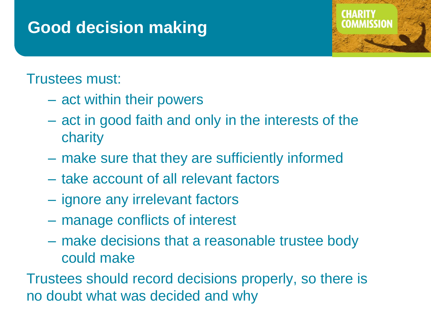### **Good decision making**

### Trustees must:

- act within their powers
- act in good faith and only in the interests of the charity
- make sure that they are sufficiently informed
- take account of all relevant factors
- ignore any irrelevant factors
- manage conflicts of interest
- make decisions that a reasonable trustee body could make

Trustees should record decisions properly, so there is no doubt what was decided and why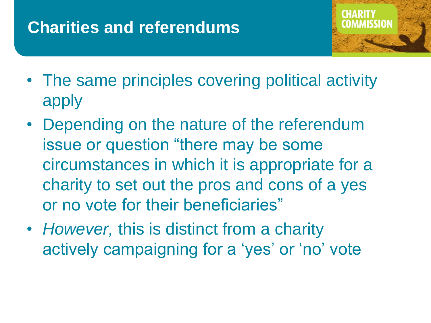### **Charities and referendums**



- The same principles covering political activity apply
- Depending on the nature of the referendum issue or question "there may be some circumstances in which it is appropriate for a charity to set out the pros and cons of a yes or no vote for their beneficiaries"
- *However,* this is distinct from a charity actively campaigning for a 'yes' or 'no' vote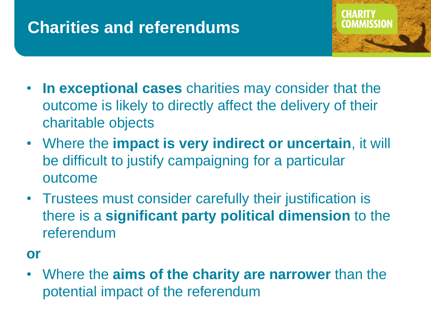### **Charities and referendums**



- **In exceptional cases** charities may consider that the outcome is likely to directly affect the delivery of their charitable objects
- Where the **impact is very indirect or uncertain**, it will be difficult to justify campaigning for a particular outcome
- Trustees must consider carefully their justification is there is a **significant party political dimension** to the referendum
- **or**
- Where the **aims of the charity are narrower** than the potential impact of the referendum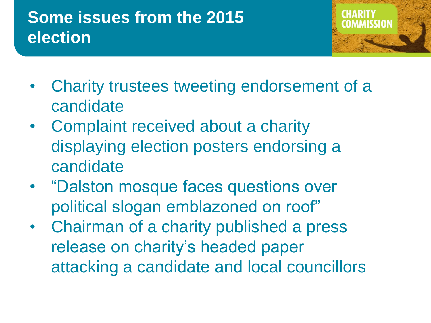### **Some issues from the 2015 election**



- Charity trustees tweeting endorsement of a candidate
- Complaint received about a charity displaying election posters endorsing a candidate
- "Dalston mosque faces questions over political slogan emblazoned on roof"
- Chairman of a charity published a press release on charity's headed paper attacking a candidate and local councillors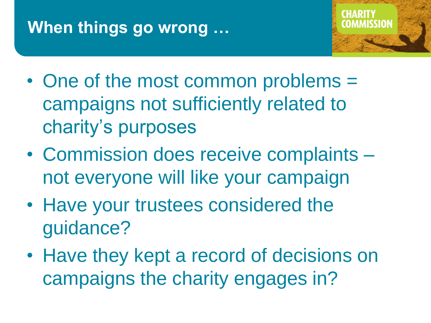### **When things go wrong …**



- One of the most common problems = campaigns not sufficiently related to charity's purposes
- Commission does receive complaints not everyone will like your campaign
- Have your trustees considered the guidance?
- Have they kept a record of decisions on campaigns the charity engages in?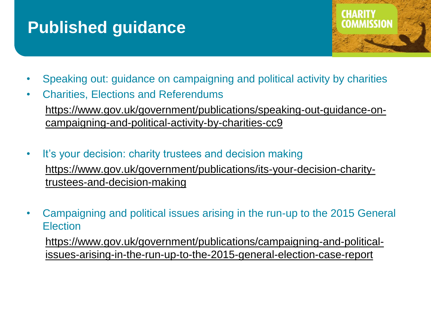### **Published guidance**



- Speaking out: guidance on campaigning and political activity by charities
- Charities, Elections and Referendums [https://www.gov.uk/government/publications/speaking-out-guidance-on](https://www.gov.uk/government/publications/speaking-out-guidance-on-campaigning-and-political-activity-by-charities-cc9)campaigning-and-political-activity-by-charities-cc9
- It's your decision: charity trustees and decision making [https://www.gov.uk/government/publications/its-your-decision-charity](https://www.gov.uk/government/publications/its-your-decision-charity-trustees-and-decision-making)trustees-and-decision-making
- Campaigning and political issues arising in the run-up to the 2015 General **Election**

https://www.gov.uk/government/publications/campaigning-and-political[issues-arising-in-the-run-up-to-the-2015-general-election-case-report](https://www.gov.uk/government/publications/campaigning-and-political-issues-arising-in-the-run-up-to-the-2015-general-election-case-report)